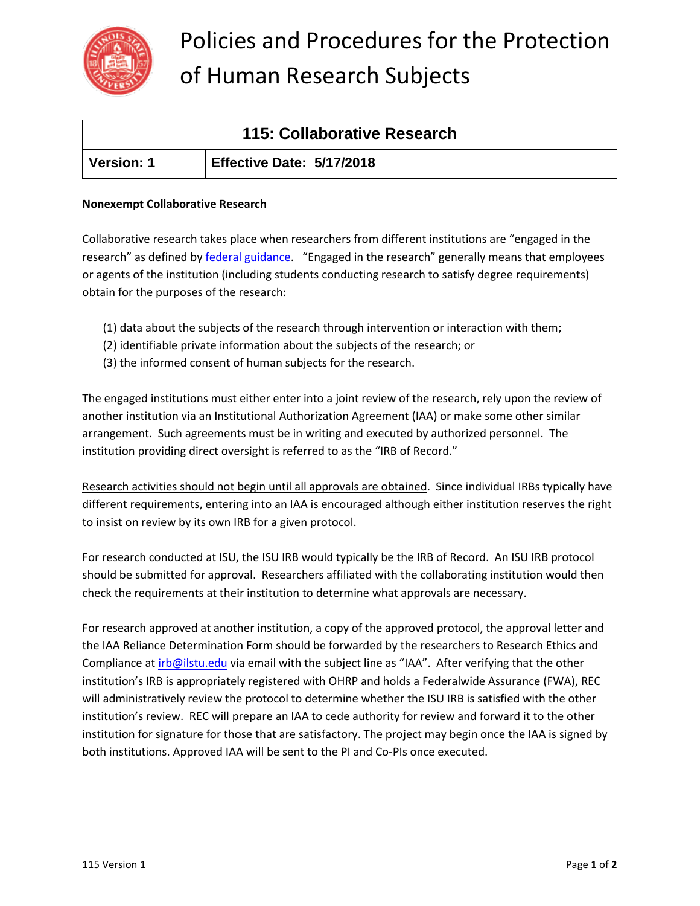

# Policies and Procedures for the Protection of Human Research Subjects

| 115: Collaborative Research |                                  |
|-----------------------------|----------------------------------|
| ∣ Version: 1                | <b>Effective Date: 5/17/2018</b> |

### **Nonexempt Collaborative Research**

Collaborative research takes place when researchers from different institutions are "engaged in the research" as defined by **[federal guidance](http://www.hhs.gov/ohrp/policy/engage08.html)**. "Engaged in the research" generally means that employees or agents of the institution (including students conducting research to satisfy degree requirements) obtain for the purposes of the research:

- (1) data about the subjects of the research through intervention or interaction with them;
- (2) identifiable private information about the subjects of the research; or
- (3) the informed consent of human subjects for the research.

The engaged institutions must either enter into a joint review of the research, rely upon the review of another institution via an Institutional Authorization Agreement (IAA) or make some other similar arrangement. Such agreements must be in writing and executed by authorized personnel. The institution providing direct oversight is referred to as the "IRB of Record."

Research activities should not begin until all approvals are obtained. Since individual IRBs typically have different requirements, entering into an IAA is encouraged although either institution reserves the right to insist on review by its own IRB for a given protocol.

For research conducted at ISU, the ISU IRB would typically be the IRB of Record. An ISU IRB protocol should be submitted for approval. Researchers affiliated with the collaborating institution would then check the requirements at their institution to determine what approvals are necessary.

For research approved at another institution, a copy of the approved protocol, the approval letter and the IAA Reliance Determination Form should be forwarded by the researchers to Research Ethics and Compliance at [irb@ilstu.edu](mailto:irb@ilstu.edu) via email with the subject line as "IAA". After verifying that the other institution's IRB is appropriately registered with OHRP and holds a Federalwide Assurance (FWA), REC will administratively review the protocol to determine whether the ISU IRB is satisfied with the other institution's review. REC will prepare an IAA to cede authority for review and forward it to the other institution for signature for those that are satisfactory. The project may begin once the IAA is signed by both institutions. Approved IAA will be sent to the PI and Co-PIs once executed.